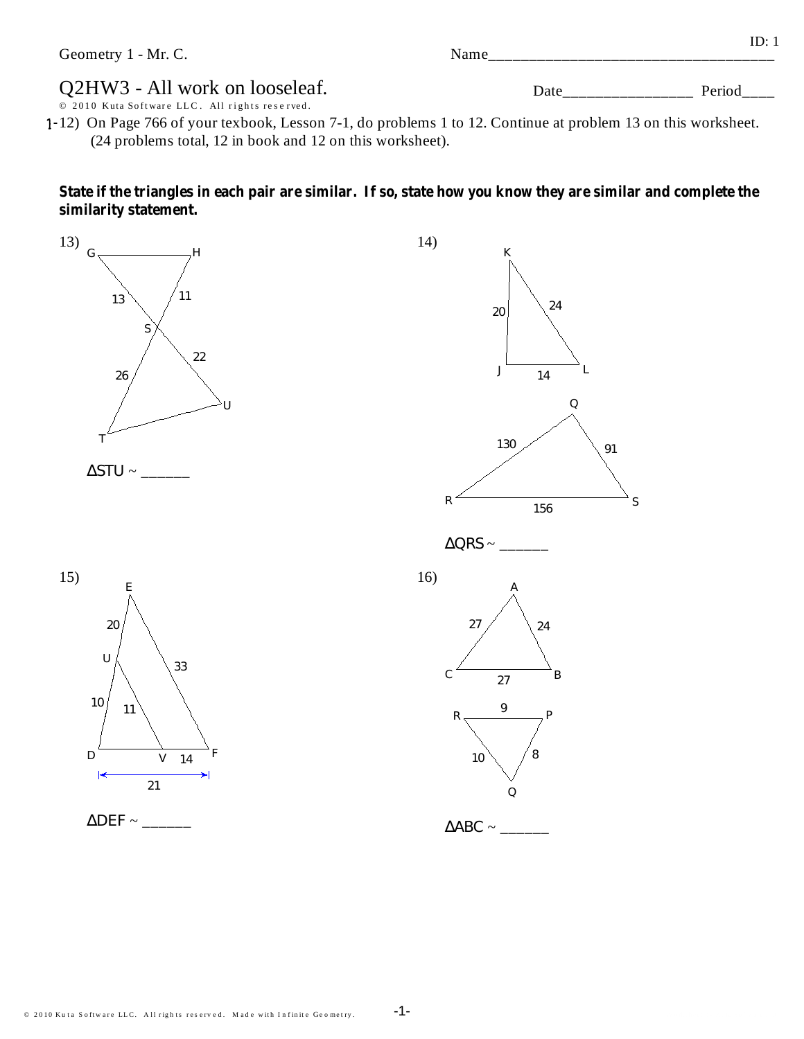| Geometry 1 - Mr. C.                                                                                                                                                                               | Name_                         | ID: 1  |
|---------------------------------------------------------------------------------------------------------------------------------------------------------------------------------------------------|-------------------------------|--------|
| Q2HW3 - All work on looseleaf.<br>© 2010 Kuta Software LLC. All rights reserved.<br>1-12) On Page 766 of your texbook, Lesson 7-1, do problems 1 to 12. Continue at problem 13 on this worksheet. | $Date$ <sub>___</sub>         | Period |
| (24 problems total, 12 in book and 12 on this worksheet).                                                                                                                                         |                               |        |
| State if the triangles in each pair are similar. If so, state how you know they are similar and complete the<br>similarity statement.                                                             |                               |        |
| 13)<br>G<br>11<br>13                                                                                                                                                                              | 14)<br>Κ<br>24<br>20          |        |
| 22<br>26                                                                                                                                                                                          | L<br>J<br>14                  |        |
| $\overline{T}$<br>$\Delta STU \sim$                                                                                                                                                               | Q<br>130<br>91                |        |
|                                                                                                                                                                                                   | 156                           | S      |
| 15)                                                                                                                                                                                               | $\Delta QRS \sim$<br>16)<br>А |        |
| 20                                                                                                                                                                                                | 27<br>24                      |        |